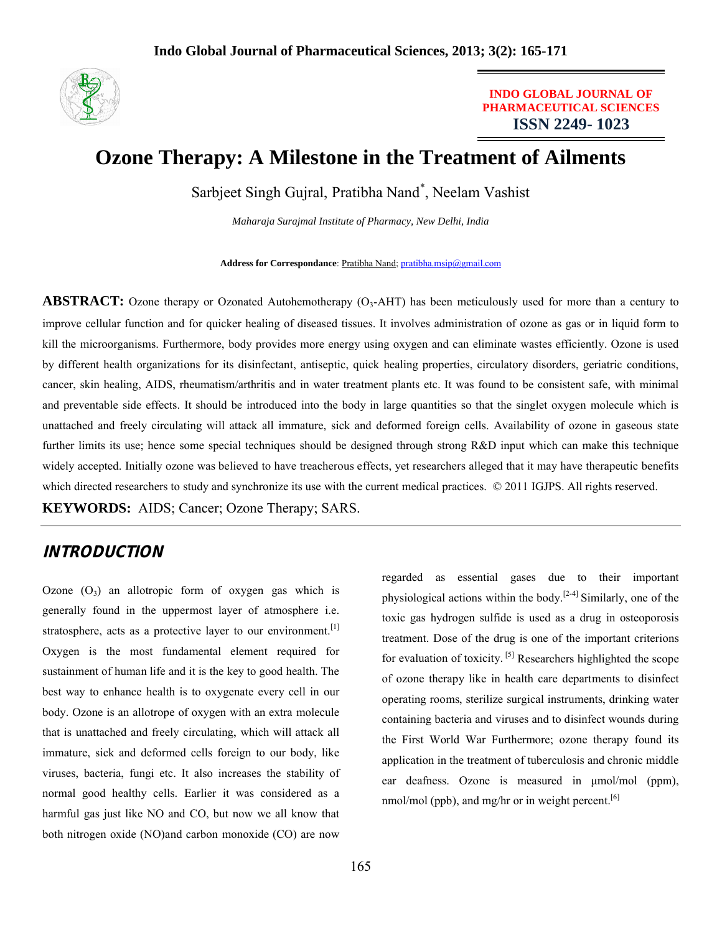

**INDO GLOBAL JOURNAL OF PHARMACEUTICAL SCIENCES ISSN 2249- 1023**

# **Ozone Therapy: A Milestone in the Treatment of Ailments**

Sarbjeet Singh Gujral, Pratibha Nand\* , Neelam Vashist

*Maharaja Surajmal Institute of Pharmacy, New Delhi, India*

**Address for Correspondance**: Pratibha Nand; pratibha.msip@gmail.com

**ABSTRACT:** Ozone therapy or Ozonated Autohemotherapy  $(O_3$ -AHT) has been meticulously used for more than a century to improve cellular function and for quicker healing of diseased tissues. It involves administration of ozone as gas or in liquid form to kill the microorganisms. Furthermore, body provides more energy using oxygen and can eliminate wastes efficiently. Ozone is used by different health organizations for its disinfectant, antiseptic, quick healing properties, circulatory disorders, geriatric conditions, cancer, skin healing, AIDS, rheumatism/arthritis and in water treatment plants etc. It was found to be consistent safe, with minimal and preventable side effects. It should be introduced into the body in large quantities so that the singlet oxygen molecule which is unattached and freely circulating will attack all immature, sick and deformed foreign cells. Availability of ozone in gaseous state further limits its use; hence some special techniques should be designed through strong R&D input which can make this technique widely accepted. Initially ozone was believed to have treacherous effects, yet researchers alleged that it may have therapeutic benefits which directed researchers to study and synchronize its use with the current medical practices. © 2011 IGJPS. All rights reserved.

**KEYWORDS:** AIDS; Cancer; Ozone Therapy; SARS.

# **INTRODUCTION**

Ozone  $(O_3)$  an allotropic form of oxygen gas which is generally found in the uppermost layer of atmosphere i.e. stratosphere, acts as a protective layer to our environment.<sup>[1]</sup> Oxygen is the most fundamental element required for sustainment of human life and it is the key to good health. The best way to enhance health is to oxygenate every cell in our body. Ozone is an allotrope of oxygen with an extra molecule that is unattached and freely circulating, which will attack all immature, sick and deformed cells foreign to our body, like viruses, bacteria, fungi etc. It also increases the stability of normal good healthy cells. Earlier it was considered as a harmful gas just like NO and CO, but now we all know that both nitrogen oxide (NO)and carbon monoxide (CO) are now

regarded as essential gases due to their important physiological actions within the body.<sup>[2-4]</sup> Similarly, one of the toxic gas hydrogen sulfide is used as a drug in osteoporosis treatment. Dose of the drug is one of the important criterions for evaluation of toxicity.  $[5]$  Researchers highlighted the scope of ozone therapy like in health care departments to disinfect operating rooms, sterilize surgical instruments, drinking water containing bacteria and viruses and to disinfect wounds during the First World War Furthermore; ozone therapy found its application in the treatment of tuberculosis and chronic middle ear deafness. Ozone is measured in μmol/mol (ppm), nmol/mol (ppb), and mg/hr or in weight percent. $[6]$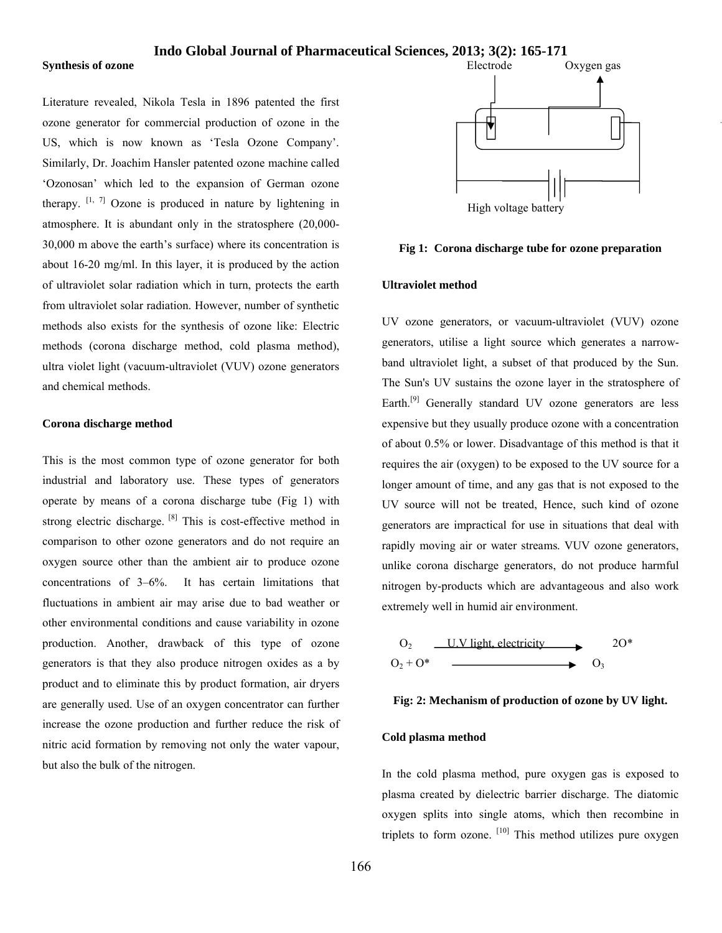#### **Synthesis of ozone**

Literature revealed, Nikola Tesla in 1896 patented the first ozone generator for commercial production of ozone in the US, which is now known as 'Tesla Ozone Company'. Similarly, Dr. Joachim Hansler patented ozone machine called 'Ozonosan' which led to the expansion of German ozone therapy.  $[1, 7]$  Ozone is produced in nature by lightening in atmosphere. It is abundant only in the stratosphere (20,000- 30,000 m above the earth's surface) where its concentration is about 16-20 mg/ml. In this layer, it is produced by the action of ultraviolet solar radiation which in turn, protects the earth from ultraviolet solar radiation. However, number of synthetic methods also exists for the synthesis of ozone like: Electric methods (corona discharge method, cold plasma method), ultra violet light (vacuum-ultraviolet (VUV) ozone generators and chemical methods.

#### **Corona discharge method**

This is the most common type of ozone generator for both industrial and laboratory use. These types of generators operate by means of a corona discharge tube (Fig 1) with strong electric discharge. [8] This is cost-effective method in comparison to other ozone generators and do not require an oxygen source other than the ambient air to produce ozone concentrations of 3–6%. It has certain limitations that fluctuations in ambient air may arise due to bad weather or other environmental conditions and cause variability in ozone production. Another, drawback of this type of ozone generators is that they also produce nitrogen oxides as a by product and to eliminate this by product formation, air dryers are generally used. Use of an oxygen concentrator can further increase the ozone production and further reduce the risk of nitric acid formation by removing not only the water vapour, but also the bulk of the nitrogen.



### **Fig 1: Corona discharge tube for ozone preparation**

### **Ultraviolet method**

UV ozone generators, or vacuum-ultraviolet (VUV) ozone generators, utilise a light source which generates a narrowband ultraviolet light, a subset of that produced by the Sun. The Sun's UV sustains the ozone layer in the stratosphere of Earth.<sup>[9]</sup> Generally standard UV ozone generators are less expensive but they usually produce ozone with a concentration of about 0.5% or lower. Disadvantage of this method is that it requires the air (oxygen) to be exposed to the UV source for a longer amount of time, and any gas that is not exposed to the UV source will not be treated, Hence, such kind of ozone generators are impractical for use in situations that deal with rapidly moving air or water streams. VUV ozone generators, unlike corona discharge generators, do not produce harmful nitrogen by-products which are advantageous and also work extremely well in humid air environment.





### **Cold plasma method**

In the cold plasma method, pure oxygen gas is exposed to plasma created by dielectric barrier discharge. The diatomic oxygen splits into single atoms, which then recombine in triplets to form ozone.  $\left[10\right]$  This method utilizes pure oxygen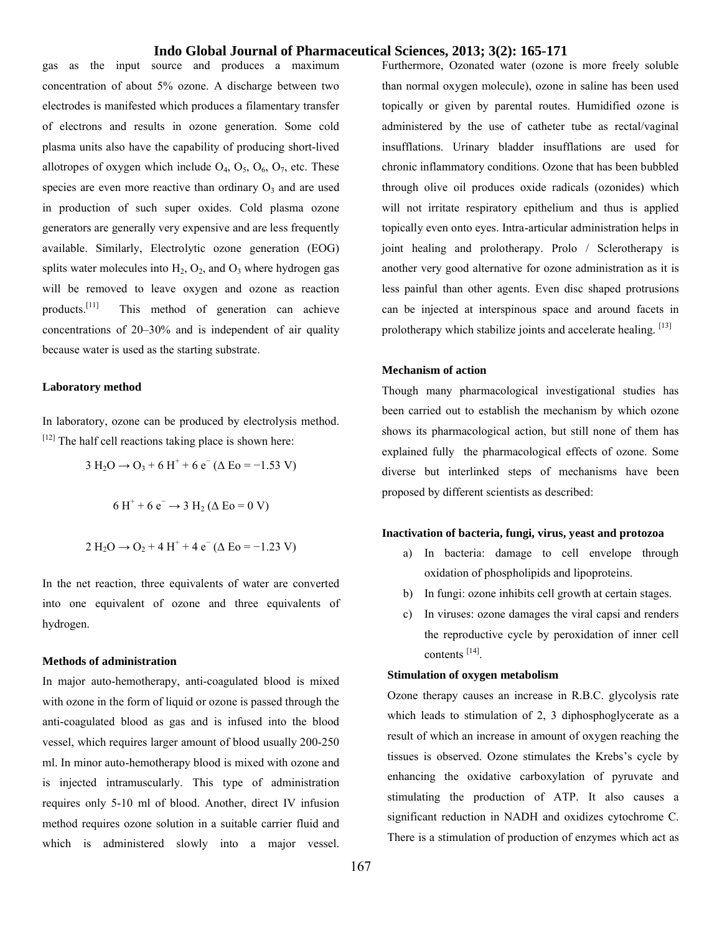gas as the input source and produces a maximum concentration of about 5% ozone. A discharge between two electrodes is manifested which produces a filamentary transfer of electrons and results in ozone generation. Some cold plasma units also have the capability of producing short-lived allotropes of oxygen which include  $O_4$ ,  $O_5$ ,  $O_6$ ,  $O_7$ , etc. These species are even more reactive than ordinary  $O_3$  and are used in production of such super oxides. Cold plasma ozone generators are generally very expensive and are less frequently available. Similarly, Electrolytic ozone generation (EOG) splits water molecules into  $H_2$ ,  $O_2$ , and  $O_3$  where hydrogen gas will be removed to leave oxygen and ozone as reaction products.[11] This method of generation can achieve concentrations of 20–30% and is independent of air quality because water is used as the starting substrate.

### **Laboratory method**

In laboratory, ozone can be produced by electrolysis method.  $[12]$  The half cell reactions taking place is shown here:

$$
3 H2O \rightarrow O3 + 6 H+ + 6 e- (\Delta Eo = -1.53 V)
$$

$$
6 H^{+} + 6 e^{-} \rightarrow 3 H_{2} (\Delta E_0 = 0 V)
$$

$$
2 H_2O \rightarrow O_2 + 4 H^+ + 4 e^- (\Delta E_0 = -1.23 V)
$$

In the net reaction, three equivalents of water are converted into one equivalent of ozone and three equivalents of hydrogen.

### **Methods of administration**

In major auto-hemotherapy, anti-coagulated blood is mixed with ozone in the form of liquid or ozone is passed through the anti-coagulated blood as gas and is infused into the blood vessel, which requires larger amount of blood usually 200-250 ml. In minor auto-hemotherapy blood is mixed with ozone and is injected intramuscularly. This type of administration requires only 5-10 ml of blood. Another, direct IV infusion method requires ozone solution in a suitable carrier fluid and which is administered slowly into a major vessel.

Furthermore, Ozonated water (ozone is more freely soluble than normal oxygen molecule), ozone in saline has been used topically or given by parental routes. Humidified ozone is administered by the use of catheter tube as rectal/vaginal insufflations. Urinary bladder insufflations are used for chronic inflammatory conditions. Ozone that has been bubbled through olive oil produces oxide radicals (ozonides) which will not irritate respiratory epithelium and thus is applied topically even onto eyes. Intra-articular administration helps in joint healing and prolotherapy. Prolo / Sclerotherapy is another very good alternative for ozone administration as it is less painful than other agents. Even disc shaped protrusions can be injected at interspinous space and around facets in prolotherapy which stabilize joints and accelerate healing.  $[13]$ 

### **Mechanism of action**

Though many pharmacological investigational studies has been carried out to establish the mechanism by which ozone shows its pharmacological action, but still none of them has explained fully the pharmacological effects of ozone. Some diverse but interlinked steps of mechanisms have been proposed by different scientists as described:

### **Inactivation of bacteria, fungi, virus, yeast and protozoa**

- a) In bacteria: damage to cell envelope through oxidation of phospholipids and lipoproteins.
- b) In fungi: ozone inhibits cell growth at certain stages.
- c) In viruses: ozone damages the viral capsi and renders the reproductive cycle by peroxidation of inner cell contents [14].

### **Stimulation of oxygen metabolism**

Ozone therapy causes an increase in R.B.C. glycolysis rate which leads to stimulation of 2, 3 diphosphoglycerate as a result of which an increase in amount of oxygen reaching the tissues is observed. Ozone stimulates the Krebs's cycle by enhancing the oxidative carboxylation of pyruvate and stimulating the production of ATP. It also causes a significant reduction in NADH and oxidizes cytochrome C. There is a stimulation of production of enzymes which act as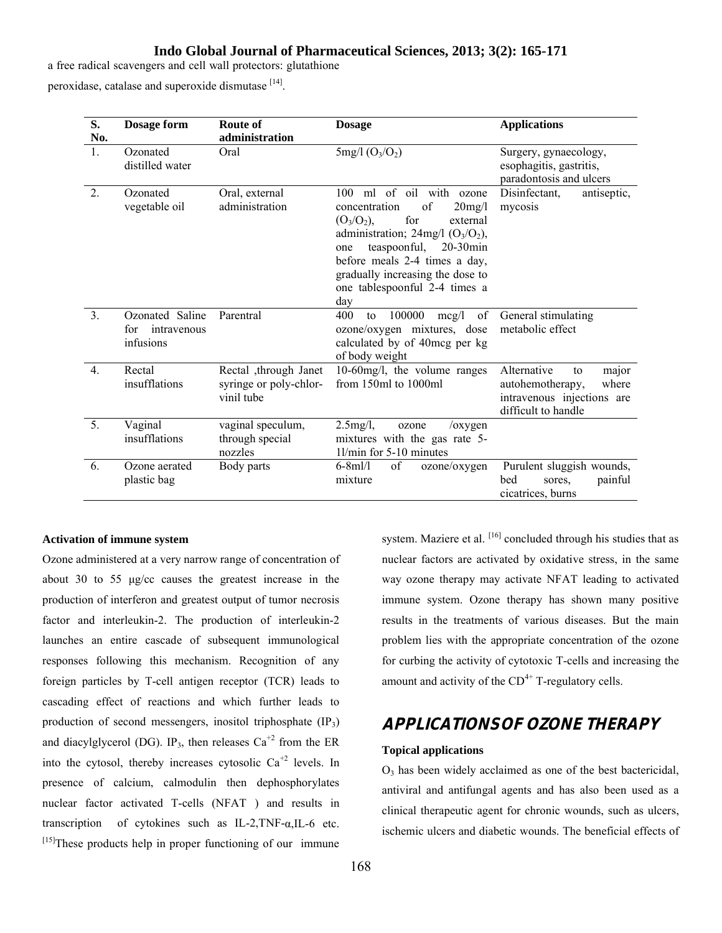a free radical scavengers and cell wall protectors: glutathione

peroxidase, catalase and superoxide dismutase [14].

| S.<br>No.        | Dosage form                                        | Route of<br>administration                                    | <b>Dosage</b>                                                                                                                                                                                                                                                                                                     | <b>Applications</b>                                                                                          |
|------------------|----------------------------------------------------|---------------------------------------------------------------|-------------------------------------------------------------------------------------------------------------------------------------------------------------------------------------------------------------------------------------------------------------------------------------------------------------------|--------------------------------------------------------------------------------------------------------------|
| $\mathbf{1}$ .   | Ozonated<br>distilled water                        | Oral                                                          | $5mg/1 (O_3/O_2)$                                                                                                                                                                                                                                                                                                 | Surgery, gynaecology,<br>esophagitis, gastritis,<br>paradontosis and ulcers                                  |
| 2.               | Ozonated<br>vegetable oil                          | Oral, external<br>administration                              | 100 ml of oil with ozone<br>concentration<br>of<br>$20$ mg/l<br>for<br>$(O_3/O_2),$<br>external<br>administration; $24mg/1$ (O <sub>3</sub> /O <sub>2</sub> ),<br>teaspoonful,<br>$20-30$ min<br>one<br>before meals 2-4 times a day,<br>gradually increasing the dose to<br>one tablespoonful 2-4 times a<br>day | Disinfectant,<br>antiseptic,<br>mycosis                                                                      |
| $\mathfrak{Z}$ . | Ozonated Saline<br>intravenous<br>for<br>infusions | Parentral                                                     | 100000<br>of<br>400<br>mcg/l<br>to<br>ozone/oxygen mixtures, dose<br>calculated by of 40mcg per kg<br>of body weight                                                                                                                                                                                              | General stimulating<br>metabolic effect                                                                      |
| $\overline{4}$ . | Rectal<br>insufflations                            | Rectal ,through Janet<br>syringe or poly-chlor-<br>vinil tube | 10-60mg/l, the volume ranges<br>from 150ml to 1000ml                                                                                                                                                                                                                                                              | Alternative<br>major<br>to<br>autohemotherapy,<br>where<br>intravenous injections are<br>difficult to handle |
| 5.               | Vaginal<br>insufflations                           | vaginal speculum,<br>through special<br>nozzles               | $2.5$ mg/l,<br>ozone<br>$\sqrt{o}$ xygen<br>mixtures with the gas rate 5-<br>1l/min for 5-10 minutes                                                                                                                                                                                                              |                                                                                                              |
| 6.               | Ozone aerated<br>plastic bag                       | Body parts                                                    | of<br>$6 - 8$ ml/l<br>ozone/oxygen<br>mixture                                                                                                                                                                                                                                                                     | Purulent sluggish wounds,<br>painful<br>bed<br>sores.<br>cicatrices, burns                                   |

### **Activation of immune system**

Ozone administered at a very narrow range of concentration of about 30 to 55 μg/cc causes the greatest increase in the production of interferon and greatest output of tumor necrosis factor and interleukin-2. The production of interleukin-2 launches an entire cascade of subsequent immunological responses following this mechanism. Recognition of any foreign particles by T-cell antigen receptor (TCR) leads to cascading effect of reactions and which further leads to production of second messengers, inositol triphosphate  $(\text{IP}_3)$ and diacylglycerol (DG). IP<sub>3</sub>, then releases  $Ca^{+2}$  from the ER into the cytosol, thereby increases cytosolic  $Ca^{+2}$  levels. In presence of calcium, calmodulin then dephosphorylates nuclear factor activated T-cells (NFAT ) and results in transcription of cytokines such as IL-2,TNF-α,IL-6 etc.  $[15]$ These products help in proper functioning of our immune

system. Maziere et al. [16] concluded through his studies that as nuclear factors are activated by oxidative stress, in the same way ozone therapy may activate NFAT leading to activated immune system. Ozone therapy has shown many positive results in the treatments of various diseases. But the main problem lies with the appropriate concentration of the ozone for curbing the activity of cytotoxic T-cells and increasing the amount and activity of the  $CD<sup>4+</sup>$  T-regulatory cells.

# **APPLICATIONS OF OZONE THERAPY**

#### **Topical applications**

 $O<sub>3</sub>$  has been widely acclaimed as one of the best bactericidal, antiviral and antifungal agents and has also been used as a clinical therapeutic agent for chronic wounds, such as ulcers, ischemic ulcers and diabetic wounds. The beneficial effects of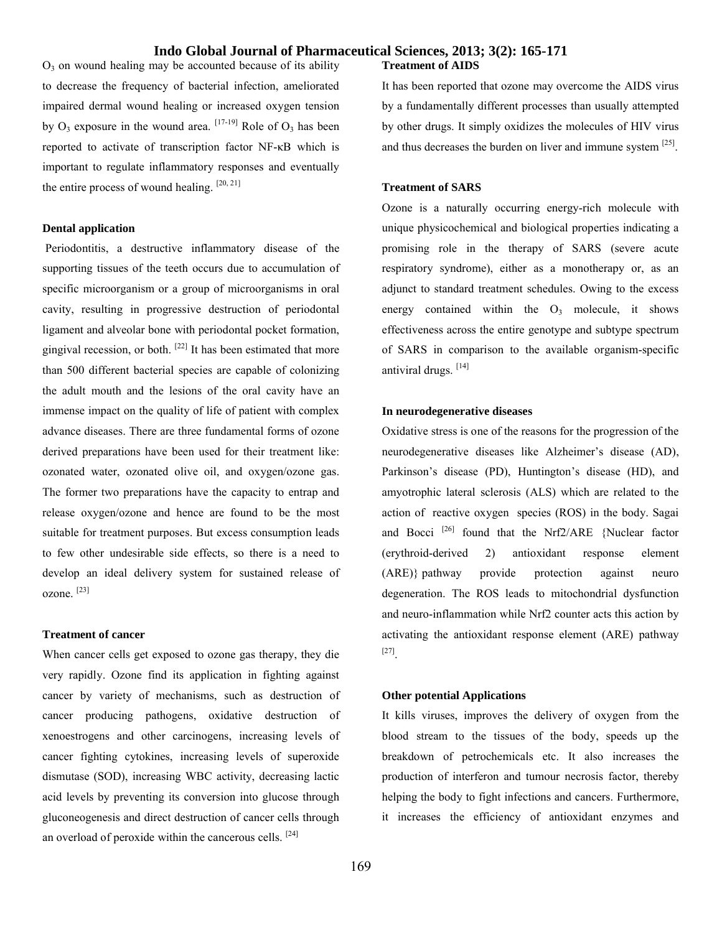$O<sub>3</sub>$  on wound healing may be accounted because of its ability to decrease the frequency of bacterial infection, ameliorated impaired dermal wound healing or increased oxygen tension by  $O_3$  exposure in the wound area.  $[17-19]$  Role of  $O_3$  has been reported to activate of transcription factor NF-κB which is important to regulate inflammatory responses and eventually the entire process of wound healing.  $[20, 21]$ 

### **Dental application**

Periodontitis, a destructive inflammatory disease of the supporting tissues of the teeth occurs due to accumulation of specific microorganism or a group of microorganisms in oral cavity, resulting in progressive destruction of periodontal ligament and alveolar bone with periodontal pocket formation, gingival recession, or both.  $[22]$  It has been estimated that more than 500 different bacterial species are capable of colonizing the adult mouth and the lesions of the oral cavity have an immense impact on the quality of life of patient with complex advance diseases. There are three fundamental forms of ozone derived preparations have been used for their treatment like: ozonated water, ozonated olive oil, and oxygen/ozone gas. The former two preparations have the capacity to entrap and release oxygen/ozone and hence are found to be the most suitable for treatment purposes. But excess consumption leads to few other undesirable side effects, so there is a need to develop an ideal delivery system for sustained release of ozone. [23]

### **Treatment of cancer**

When cancer cells get exposed to ozone gas therapy, they die very rapidly. Ozone find its application in fighting against cancer by variety of mechanisms, such as destruction of cancer producing pathogens, oxidative destruction of xenoestrogens and other carcinogens, increasing levels of cancer fighting cytokines, increasing levels of superoxide dismutase (SOD), increasing WBC activity, decreasing lactic acid levels by preventing its conversion into glucose through gluconeogenesis and direct destruction of cancer cells through an overload of peroxide within the cancerous cells.  $[24]$ 

### **Treatment of AIDS**

It has been reported that ozone may overcome the AIDS virus by a fundamentally different processes than usually attempted by other drugs. It simply oxidizes the molecules of HIV virus and thus decreases the burden on liver and immune system  $[25]$ .

### **Treatment of SARS**

Ozone is a naturally occurring energy-rich molecule with unique physicochemical and biological properties indicating a promising role in the therapy of SARS (severe acute respiratory syndrome), either as a monotherapy or, as an adjunct to standard treatment schedules. Owing to the excess energy contained within the  $O_3$  molecule, it shows effectiveness across the entire genotype and subtype spectrum of SARS in comparison to the available organism-specific antiviral drugs. [14]

### **In neurodegenerative diseases**

Oxidative stress is one of the reasons for the progression of the neurodegenerative diseases like Alzheimer's disease (AD), Parkinson's disease (PD), Huntington's disease (HD), and amyotrophic lateral sclerosis (ALS) which are related to the action of reactive oxygen species (ROS) in the body. Sagai and Bocci<sup>[26]</sup> found that the Nrf2/ARE {Nuclear factor (erythroid-derived 2) antioxidant response element (ARE)} pathway provide protection against neuro degeneration. The ROS leads to mitochondrial dysfunction and neuro-inflammation while Nrf2 counter acts this action by activating the antioxidant response element (ARE) pathway [27].

### **Other potential Applications**

It kills viruses, improves the delivery of oxygen from the blood stream to the tissues of the body, speeds up the breakdown of petrochemicals etc. It also increases the production of interferon and tumour necrosis factor, thereby helping the body to fight infections and cancers. Furthermore, it increases the efficiency of antioxidant enzymes and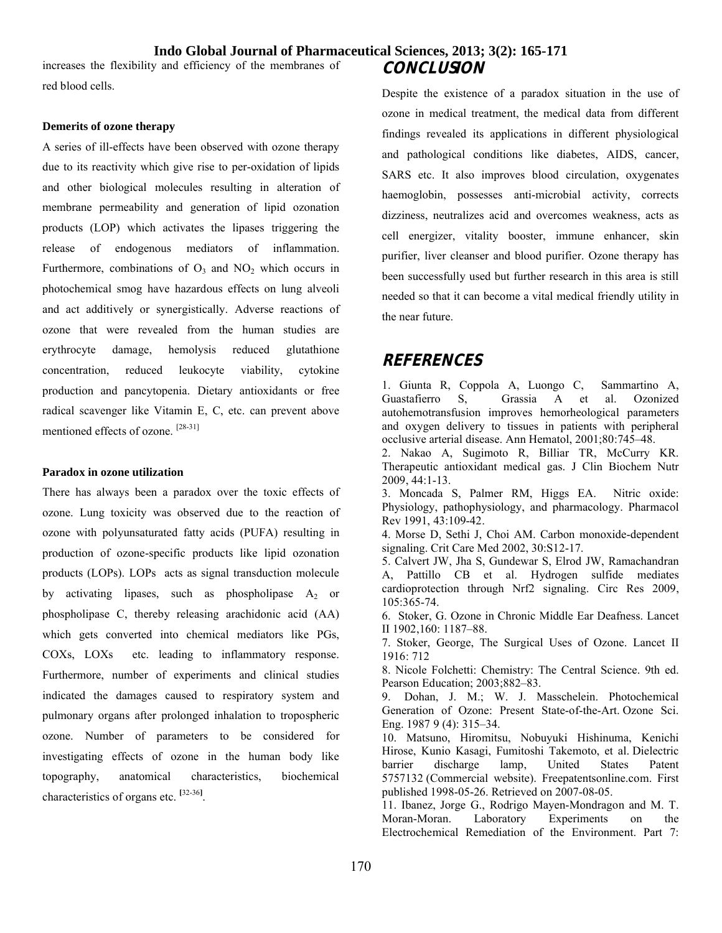increases the flexibility and efficiency of the membranes of red blood cells.

### **Demerits of ozone therapy**

A series of ill-effects have been observed with ozone therapy due to its reactivity which give rise to per-oxidation of lipids and other biological molecules resulting in alteration of membrane permeability and generation of lipid ozonation products (LOP) which activates the lipases triggering the release of endogenous mediators of inflammation. Furthermore, combinations of  $O_3$  and  $NO_2$  which occurs in photochemical smog have hazardous effects on lung alveoli and act additively or synergistically. Adverse reactions of ozone that were revealed from the human studies are erythrocyte damage, hemolysis reduced glutathione concentration, reduced leukocyte viability, cytokine production and pancytopenia. Dietary antioxidants or free radical scavenger like Vitamin E, C, etc. can prevent above mentioned effects of ozone. [28-31]

### **Paradox in ozone utilization**

There has always been a paradox over the toxic effects of ozone. Lung toxicity was observed due to the reaction of ozone with polyunsaturated fatty acids (PUFA) resulting in production of ozone-specific products like lipid ozonation products (LOPs). LOPs acts as signal transduction molecule by activating lipases, such as phospholipase  $A_2$  or phospholipase C, thereby releasing arachidonic acid (AA) which gets converted into chemical mediators like PGs, COXs, LOXs etc. leading to inflammatory response. Furthermore, number of experiments and clinical studies indicated the damages caused to respiratory system and pulmonary organs after prolonged inhalation to tropospheric ozone. Number of parameters to be considered for investigating effects of ozone in the human body like topography, anatomical characteristics, biochemical characteristics of organs etc. **[**32-36**]** .

# **CONCLUSION**

Despite the existence of a paradox situation in the use of ozone in medical treatment, the medical data from different findings revealed its applications in different physiological and pathological conditions like diabetes, AIDS, cancer, SARS etc. It also improves blood circulation, oxygenates haemoglobin, possesses anti-microbial activity, corrects dizziness, neutralizes acid and overcomes weakness, acts as cell energizer, vitality booster, immune enhancer, skin purifier, liver cleanser and blood purifier. Ozone therapy has been successfully used but further research in this area is still needed so that it can become a vital medical friendly utility in the near future.

# **REFERENCES**

1. Giunta R, Coppola A, Luongo C, Sammartino A, Guastafierro S, Grassia A et al. Ozonized autohemotransfusion improves hemorheological parameters and oxygen delivery to tissues in patients with peripheral occlusive arterial disease. Ann Hematol, 2001;80:745–48.

2. Nakao A, Sugimoto R, Billiar TR, McCurry KR. Therapeutic antioxidant medical gas. J Clin Biochem Nutr 2009, 44:1-13.

3. Moncada S, Palmer RM, Higgs EA. Nitric oxide: Physiology, pathophysiology, and pharmacology. Pharmacol Rev 1991, 43:109-42.

4. Morse D, Sethi J, Choi AM. Carbon monoxide-dependent signaling. Crit Care Med 2002, 30:S12-17.

5. Calvert JW, Jha S, Gundewar S, Elrod JW, Ramachandran A, Pattillo CB et al. Hydrogen sulfide mediates cardioprotection through Nrf2 signaling. Circ Res 2009, 105:365-74.

6. Stoker, G. Ozone in Chronic Middle Ear Deafness. Lancet II 1902,160: 1187–88.

7. Stoker, George, The Surgical Uses of Ozone. Lancet II 1916: 712

8. Nicole Folchetti: Chemistry: The Central Science. 9th ed. Pearson Education; 2003;882–83.

9. Dohan, J. M.; W. J. Masschelein. Photochemical Generation of Ozone: Present State-of-the-Art. Ozone Sci. Eng. 1987 9 (4): 315–34.

10. Matsuno, Hiromitsu, Nobuyuki Hishinuma, Kenichi Hirose, Kunio Kasagi, Fumitoshi Takemoto, et al. Dielectric barrier discharge lamp, United States Patent 5757132 (Commercial website). Freepatentsonline.com. First published 1998-05-26. Retrieved on 2007-08-05.

11. Ibanez, Jorge G., Rodrigo Mayen-Mondragon and M. T. Moran-Moran. Laboratory Experiments on the Electrochemical Remediation of the Environment. Part 7: